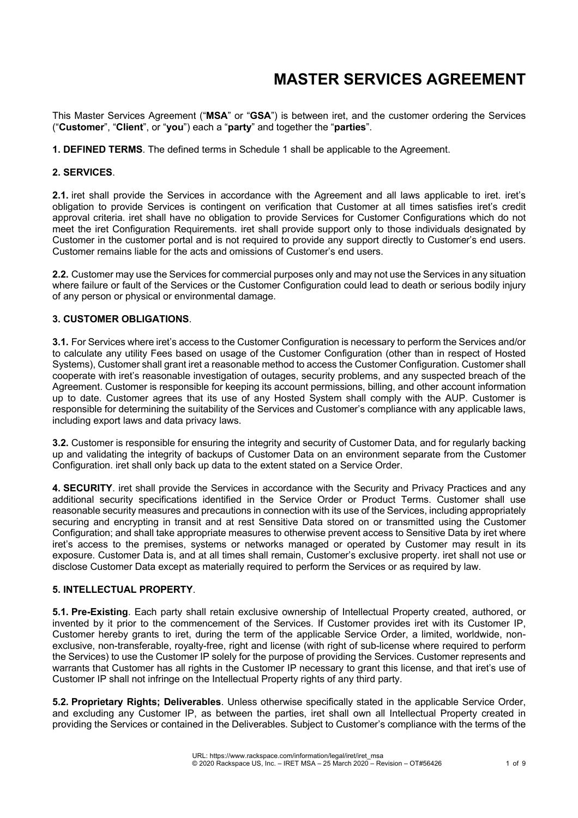# **MASTER SERVICES AGREEMENT**

This Master Services Agreement ("**MSA**" or "**GSA**") is between iret, and the customer ordering the Services ("**Customer**", "**Client**", or "**you**") each a "**party**" and together the "**parties**".

**1. DEFINED TERMS**. The defined terms in Schedule 1 shall be applicable to the Agreement.

#### **2. SERVICES**.

**2.1.** iret shall provide the Services in accordance with the Agreement and all laws applicable to iret. iret's obligation to provide Services is contingent on verification that Customer at all times satisfies iret's credit approval criteria. iret shall have no obligation to provide Services for Customer Configurations which do not meet the iret Configuration Requirements. iret shall provide support only to those individuals designated by Customer in the customer portal and is not required to provide any support directly to Customer's end users. Customer remains liable for the acts and omissions of Customer's end users.

**2.2.** Customer may use the Services for commercial purposes only and may not use the Services in any situation where failure or fault of the Services or the Customer Configuration could lead to death or serious bodily injury of any person or physical or environmental damage.

#### **3. CUSTOMER OBLIGATIONS**.

**3.1.** For Services where iret's access to the Customer Configuration is necessary to perform the Services and/or to calculate any utility Fees based on usage of the Customer Configuration (other than in respect of Hosted Systems), Customer shall grant iret a reasonable method to access the Customer Configuration. Customer shall cooperate with iret's reasonable investigation of outages, security problems, and any suspected breach of the Agreement. Customer is responsible for keeping its account permissions, billing, and other account information up to date. Customer agrees that its use of any Hosted System shall comply with the AUP. Customer is responsible for determining the suitability of the Services and Customer's compliance with any applicable laws, including export laws and data privacy laws.

**3.2.** Customer is responsible for ensuring the integrity and security of Customer Data, and for regularly backing up and validating the integrity of backups of Customer Data on an environment separate from the Customer Configuration. iret shall only back up data to the extent stated on a Service Order.

**4. SECURITY**. iret shall provide the Services in accordance with the Security and Privacy Practices and any additional security specifications identified in the Service Order or Product Terms. Customer shall use reasonable security measures and precautions in connection with its use of the Services, including appropriately securing and encrypting in transit and at rest Sensitive Data stored on or transmitted using the Customer Configuration; and shall take appropriate measures to otherwise prevent access to Sensitive Data by iret where iret's access to the premises, systems or networks managed or operated by Customer may result in its exposure. Customer Data is, and at all times shall remain, Customer's exclusive property. iret shall not use or disclose Customer Data except as materially required to perform the Services or as required by law.

#### **5. INTELLECTUAL PROPERTY**.

**5.1. Pre-Existing**. Each party shall retain exclusive ownership of Intellectual Property created, authored, or invented by it prior to the commencement of the Services. If Customer provides iret with its Customer IP, Customer hereby grants to iret, during the term of the applicable Service Order, a limited, worldwide, nonexclusive, non-transferable, royalty-free, right and license (with right of sub-license where required to perform the Services) to use the Customer IP solely for the purpose of providing the Services. Customer represents and warrants that Customer has all rights in the Customer IP necessary to grant this license, and that iret's use of Customer IP shall not infringe on the Intellectual Property rights of any third party.

**5.2. Proprietary Rights; Deliverables**. Unless otherwise specifically stated in the applicable Service Order, and excluding any Customer IP, as between the parties, iret shall own all Intellectual Property created in providing the Services or contained in the Deliverables. Subject to Customer's compliance with the terms of the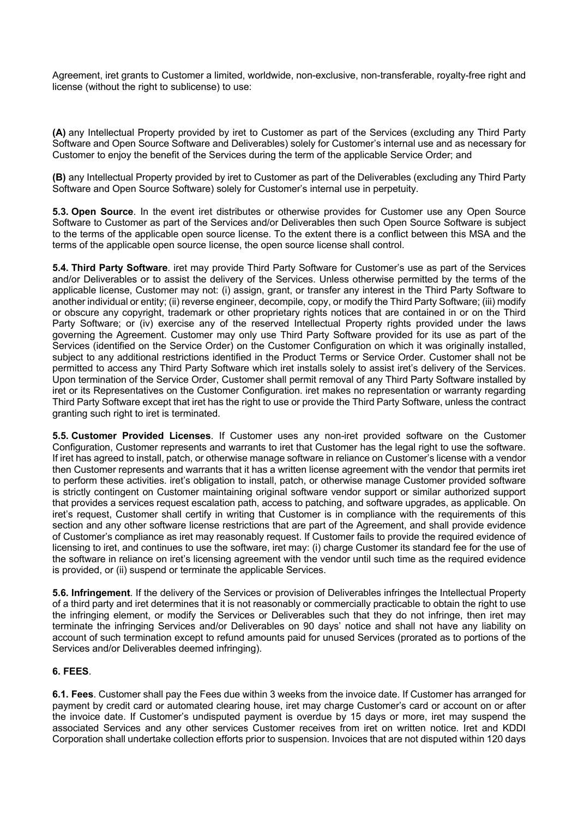Agreement, iret grants to Customer a limited, worldwide, non-exclusive, non-transferable, royalty-free right and license (without the right to sublicense) to use:

**(A)** any Intellectual Property provided by iret to Customer as part of the Services (excluding any Third Party Software and Open Source Software and Deliverables) solely for Customer's internal use and as necessary for Customer to enjoy the benefit of the Services during the term of the applicable Service Order; and

**(B)** any Intellectual Property provided by iret to Customer as part of the Deliverables (excluding any Third Party Software and Open Source Software) solely for Customer's internal use in perpetuity.

**5.3. Open Source**. In the event iret distributes or otherwise provides for Customer use any Open Source Software to Customer as part of the Services and/or Deliverables then such Open Source Software is subject to the terms of the applicable open source license. To the extent there is a conflict between this MSA and the terms of the applicable open source license, the open source license shall control.

**5.4. Third Party Software**. iret may provide Third Party Software for Customer's use as part of the Services and/or Deliverables or to assist the delivery of the Services. Unless otherwise permitted by the terms of the applicable license, Customer may not: (i) assign, grant, or transfer any interest in the Third Party Software to another individual or entity; (ii) reverse engineer, decompile, copy, or modify the Third Party Software; (iii) modify or obscure any copyright, trademark or other proprietary rights notices that are contained in or on the Third Party Software; or (iv) exercise any of the reserved Intellectual Property rights provided under the laws governing the Agreement. Customer may only use Third Party Software provided for its use as part of the Services (identified on the Service Order) on the Customer Configuration on which it was originally installed, subject to any additional restrictions identified in the Product Terms or Service Order. Customer shall not be permitted to access any Third Party Software which iret installs solely to assist iret's delivery of the Services. Upon termination of the Service Order, Customer shall permit removal of any Third Party Software installed by iret or its Representatives on the Customer Configuration. iret makes no representation or warranty regarding Third Party Software except that iret has the right to use or provide the Third Party Software, unless the contract granting such right to iret is terminated.

**5.5. Customer Provided Licenses**. If Customer uses any non-iret provided software on the Customer Configuration, Customer represents and warrants to iret that Customer has the legal right to use the software. If iret has agreed to install, patch, or otherwise manage software in reliance on Customer's license with a vendor then Customer represents and warrants that it has a written license agreement with the vendor that permits iret to perform these activities. iret's obligation to install, patch, or otherwise manage Customer provided software is strictly contingent on Customer maintaining original software vendor support or similar authorized support that provides a services request escalation path, access to patching, and software upgrades, as applicable. On iret's request, Customer shall certify in writing that Customer is in compliance with the requirements of this section and any other software license restrictions that are part of the Agreement, and shall provide evidence of Customer's compliance as iret may reasonably request. If Customer fails to provide the required evidence of licensing to iret, and continues to use the software, iret may: (i) charge Customer its standard fee for the use of the software in reliance on iret's licensing agreement with the vendor until such time as the required evidence is provided, or (ii) suspend or terminate the applicable Services.

**5.6. Infringement**. If the delivery of the Services or provision of Deliverables infringes the Intellectual Property of a third party and iret determines that it is not reasonably or commercially practicable to obtain the right to use the infringing element, or modify the Services or Deliverables such that they do not infringe, then iret may terminate the infringing Services and/or Deliverables on 90 days' notice and shall not have any liability on account of such termination except to refund amounts paid for unused Services (prorated as to portions of the Services and/or Deliverables deemed infringing).

# **6. FEES**.

**6.1. Fees**. Customer shall pay the Fees due within 3 weeks from the invoice date. If Customer has arranged for payment by credit card or automated clearing house, iret may charge Customer's card or account on or after the invoice date. If Customer's undisputed payment is overdue by 15 days or more, iret may suspend the associated Services and any other services Customer receives from iret on written notice. Iret and KDDI Corporation shall undertake collection efforts prior to suspension. Invoices that are not disputed within 120 days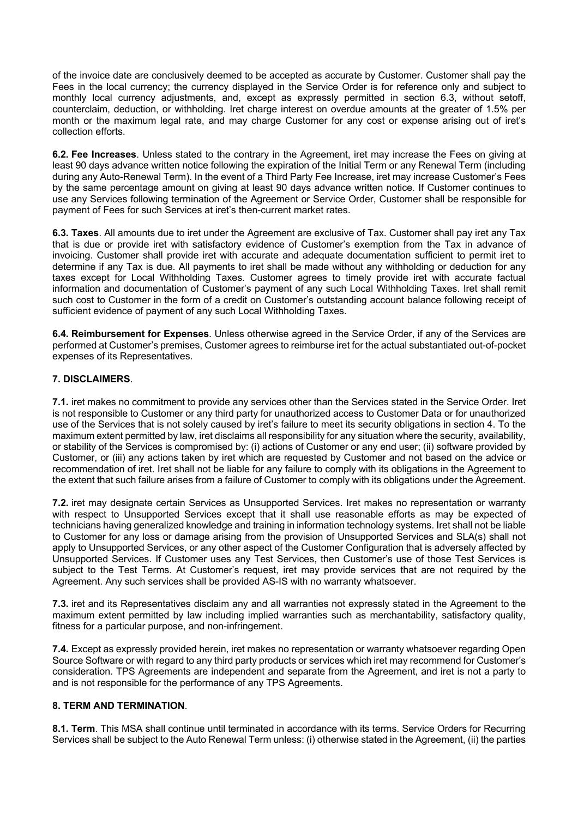of the invoice date are conclusively deemed to be accepted as accurate by Customer. Customer shall pay the Fees in the local currency; the currency displayed in the Service Order is for reference only and subject to monthly local currency adjustments, and, except as expressly permitted in section 6.3, without setoff, counterclaim, deduction, or withholding. Iret charge interest on overdue amounts at the greater of 1.5% per month or the maximum legal rate, and may charge Customer for any cost or expense arising out of iret's collection efforts.

**6.2. Fee Increases**. Unless stated to the contrary in the Agreement, iret may increase the Fees on giving at least 90 days advance written notice following the expiration of the Initial Term or any Renewal Term (including during any Auto-Renewal Term). In the event of a Third Party Fee Increase, iret may increase Customer's Fees by the same percentage amount on giving at least 90 days advance written notice. If Customer continues to use any Services following termination of the Agreement or Service Order, Customer shall be responsible for payment of Fees for such Services at iret's then-current market rates.

**6.3. Taxes**. All amounts due to iret under the Agreement are exclusive of Tax. Customer shall pay iret any Tax that is due or provide iret with satisfactory evidence of Customer's exemption from the Tax in advance of invoicing. Customer shall provide iret with accurate and adequate documentation sufficient to permit iret to determine if any Tax is due. All payments to iret shall be made without any withholding or deduction for any taxes except for Local Withholding Taxes. Customer agrees to timely provide iret with accurate factual information and documentation of Customer's payment of any such Local Withholding Taxes. Iret shall remit such cost to Customer in the form of a credit on Customer's outstanding account balance following receipt of sufficient evidence of payment of any such Local Withholding Taxes.

**6.4. Reimbursement for Expenses**. Unless otherwise agreed in the Service Order, if any of the Services are performed at Customer's premises, Customer agrees to reimburse iret for the actual substantiated out-of-pocket expenses of its Representatives.

# **7. DISCLAIMERS**.

**7.1.** iret makes no commitment to provide any services other than the Services stated in the Service Order. Iret is not responsible to Customer or any third party for unauthorized access to Customer Data or for unauthorized use of the Services that is not solely caused by iret's failure to meet its security obligations in section 4. To the maximum extent permitted by law, iret disclaims all responsibility for any situation where the security, availability, or stability of the Services is compromised by: (i) actions of Customer or any end user; (ii) software provided by Customer, or (iii) any actions taken by iret which are requested by Customer and not based on the advice or recommendation of iret. Iret shall not be liable for any failure to comply with its obligations in the Agreement to the extent that such failure arises from a failure of Customer to comply with its obligations under the Agreement.

**7.2.** iret may designate certain Services as Unsupported Services. Iret makes no representation or warranty with respect to Unsupported Services except that it shall use reasonable efforts as may be expected of technicians having generalized knowledge and training in information technology systems. Iret shall not be liable to Customer for any loss or damage arising from the provision of Unsupported Services and SLA(s) shall not apply to Unsupported Services, or any other aspect of the Customer Configuration that is adversely affected by Unsupported Services. If Customer uses any Test Services, then Customer's use of those Test Services is subject to the Test Terms. At Customer's request, iret may provide services that are not required by the Agreement. Any such services shall be provided AS-IS with no warranty whatsoever.

**7.3.** iret and its Representatives disclaim any and all warranties not expressly stated in the Agreement to the maximum extent permitted by law including implied warranties such as merchantability, satisfactory quality, fitness for a particular purpose, and non-infringement.

**7.4.** Except as expressly provided herein, iret makes no representation or warranty whatsoever regarding Open Source Software or with regard to any third party products or services which iret may recommend for Customer's consideration. TPS Agreements are independent and separate from the Agreement, and iret is not a party to and is not responsible for the performance of any TPS Agreements.

# **8. TERM AND TERMINATION**.

**8.1. Term**. This MSA shall continue until terminated in accordance with its terms. Service Orders for Recurring Services shall be subject to the Auto Renewal Term unless: (i) otherwise stated in the Agreement, (ii) the parties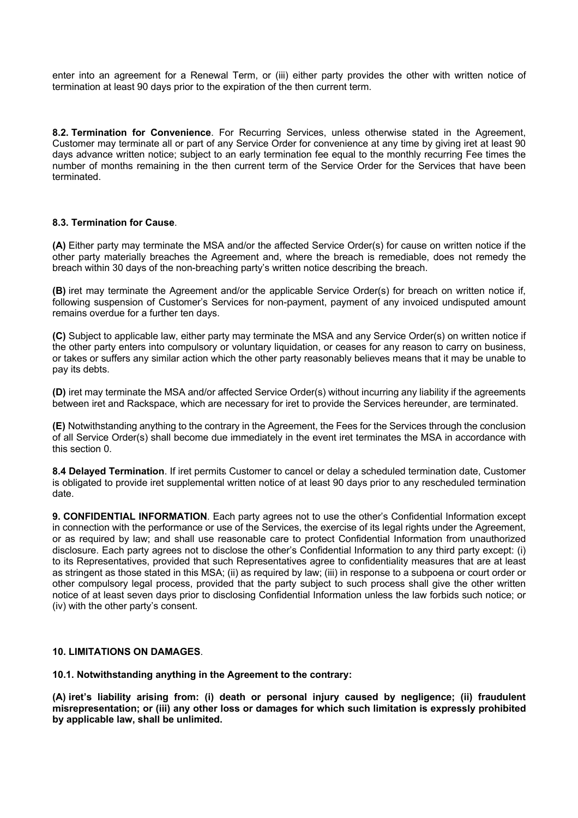enter into an agreement for a Renewal Term, or (iii) either party provides the other with written notice of termination at least 90 days prior to the expiration of the then current term.

**8.2. Termination for Convenience**. For Recurring Services, unless otherwise stated in the Agreement, Customer may terminate all or part of any Service Order for convenience at any time by giving iret at least 90 days advance written notice; subject to an early termination fee equal to the monthly recurring Fee times the number of months remaining in the then current term of the Service Order for the Services that have been terminated.

# **8.3. Termination for Cause**.

**(A)** Either party may terminate the MSA and/or the affected Service Order(s) for cause on written notice if the other party materially breaches the Agreement and, where the breach is remediable, does not remedy the breach within 30 days of the non-breaching party's written notice describing the breach.

**(B)** iret may terminate the Agreement and/or the applicable Service Order(s) for breach on written notice if, following suspension of Customer's Services for non-payment, payment of any invoiced undisputed amount remains overdue for a further ten days.

**(C)** Subject to applicable law, either party may terminate the MSA and any Service Order(s) on written notice if the other party enters into compulsory or voluntary liquidation, or ceases for any reason to carry on business, or takes or suffers any similar action which the other party reasonably believes means that it may be unable to pay its debts.

**(D)** iret may terminate the MSA and/or affected Service Order(s) without incurring any liability if the agreements between iret and Rackspace, which are necessary for iret to provide the Services hereunder, are terminated.

**(E)** Notwithstanding anything to the contrary in the Agreement, the Fees for the Services through the conclusion of all Service Order(s) shall become due immediately in the event iret terminates the MSA in accordance with this section 0.

**8.4 Delayed Termination**. If iret permits Customer to cancel or delay a scheduled termination date, Customer is obligated to provide iret supplemental written notice of at least 90 days prior to any rescheduled termination date.

**9. CONFIDENTIAL INFORMATION**. Each party agrees not to use the other's Confidential Information except in connection with the performance or use of the Services, the exercise of its legal rights under the Agreement, or as required by law; and shall use reasonable care to protect Confidential Information from unauthorized disclosure. Each party agrees not to disclose the other's Confidential Information to any third party except: (i) to its Representatives, provided that such Representatives agree to confidentiality measures that are at least as stringent as those stated in this MSA; (ii) as required by law; (iii) in response to a subpoena or court order or other compulsory legal process, provided that the party subject to such process shall give the other written notice of at least seven days prior to disclosing Confidential Information unless the law forbids such notice; or (iv) with the other party's consent.

#### **10. LIMITATIONS ON DAMAGES**.

**10.1. Notwithstanding anything in the Agreement to the contrary:** 

**(A) iret's liability arising from: (i) death or personal injury caused by negligence; (ii) fraudulent misrepresentation; or (iii) any other loss or damages for which such limitation is expressly prohibited by applicable law, shall be unlimited.**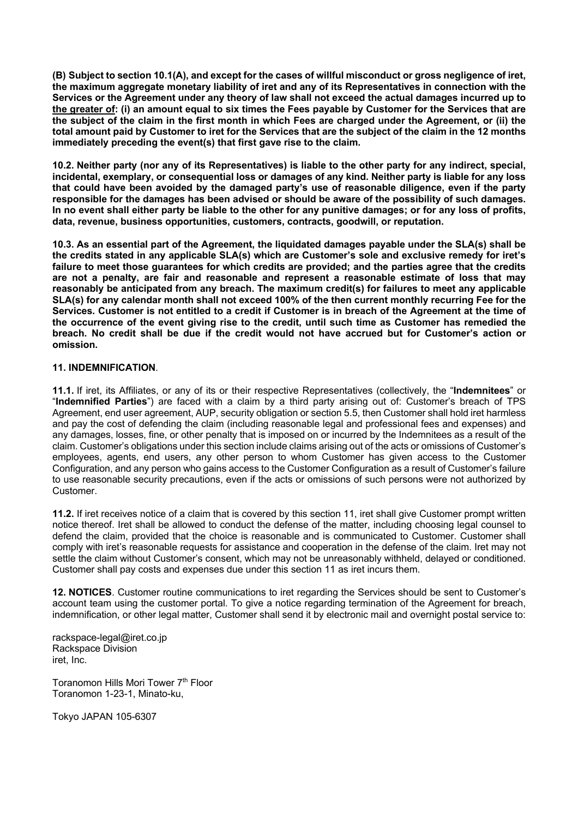**(B) Subject to section 10.1(A), and except for the cases of willful misconduct or gross negligence of iret, the maximum aggregate monetary liability of iret and any of its Representatives in connection with the Services or the Agreement under any theory of law shall not exceed the actual damages incurred up to the greater of: (i) an amount equal to six times the Fees payable by Customer for the Services that are the subject of the claim in the first month in which Fees are charged under the Agreement, or (ii) the total amount paid by Customer to iret for the Services that are the subject of the claim in the 12 months immediately preceding the event(s) that first gave rise to the claim.**

**10.2. Neither party (nor any of its Representatives) is liable to the other party for any indirect, special, incidental, exemplary, or consequential loss or damages of any kind. Neither party is liable for any loss that could have been avoided by the damaged party's use of reasonable diligence, even if the party responsible for the damages has been advised or should be aware of the possibility of such damages. In no event shall either party be liable to the other for any punitive damages; or for any loss of profits, data, revenue, business opportunities, customers, contracts, goodwill, or reputation.**

**10.3. As an essential part of the Agreement, the liquidated damages payable under the SLA(s) shall be the credits stated in any applicable SLA(s) which are Customer's sole and exclusive remedy for iret's failure to meet those guarantees for which credits are provided; and the parties agree that the credits are not a penalty, are fair and reasonable and represent a reasonable estimate of loss that may reasonably be anticipated from any breach. The maximum credit(s) for failures to meet any applicable SLA(s) for any calendar month shall not exceed 100% of the then current monthly recurring Fee for the Services. Customer is not entitled to a credit if Customer is in breach of the Agreement at the time of the occurrence of the event giving rise to the credit, until such time as Customer has remedied the breach. No credit shall be due if the credit would not have accrued but for Customer's action or omission.**

# **11. INDEMNIFICATION**.

**11.1.** If iret, its Affiliates, or any of its or their respective Representatives (collectively, the "**Indemnitees**" or "**Indemnified Parties**") are faced with a claim by a third party arising out of: Customer's breach of TPS Agreement, end user agreement, AUP, security obligation or section 5.5, then Customer shall hold iret harmless and pay the cost of defending the claim (including reasonable legal and professional fees and expenses) and any damages, losses, fine, or other penalty that is imposed on or incurred by the Indemnitees as a result of the claim. Customer's obligations under this section include claims arising out of the acts or omissions of Customer's employees, agents, end users, any other person to whom Customer has given access to the Customer Configuration, and any person who gains access to the Customer Configuration as a result of Customer's failure to use reasonable security precautions, even if the acts or omissions of such persons were not authorized by Customer.

**11.2.** If iret receives notice of a claim that is covered by this section 11, iret shall give Customer prompt written notice thereof. Iret shall be allowed to conduct the defense of the matter, including choosing legal counsel to defend the claim, provided that the choice is reasonable and is communicated to Customer. Customer shall comply with iret's reasonable requests for assistance and cooperation in the defense of the claim. Iret may not settle the claim without Customer's consent, which may not be unreasonably withheld, delayed or conditioned. Customer shall pay costs and expenses due under this section 11 as iret incurs them.

**12. NOTICES**. Customer routine communications to iret regarding the Services should be sent to Customer's account team using the customer portal. To give a notice regarding termination of the Agreement for breach, indemnification, or other legal matter, Customer shall send it by electronic mail and overnight postal service to:

rackspace-legal@iret.co.jp Rackspace Division iret, Inc.

Toranomon Hills Mori Tower 7<sup>th</sup> Floor Toranomon 1-23-1, Minato-ku,

Tokyo JAPAN 105-6307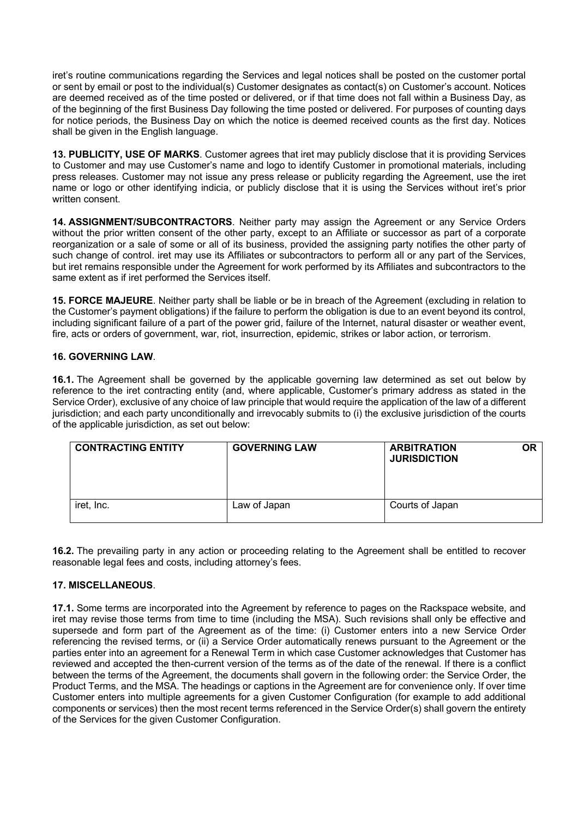iret's routine communications regarding the Services and legal notices shall be posted on the customer portal or sent by email or post to the individual(s) Customer designates as contact(s) on Customer's account. Notices are deemed received as of the time posted or delivered, or if that time does not fall within a Business Day, as of the beginning of the first Business Day following the time posted or delivered. For purposes of counting days for notice periods, the Business Day on which the notice is deemed received counts as the first day. Notices shall be given in the English language.

**13. PUBLICITY, USE OF MARKS**. Customer agrees that iret may publicly disclose that it is providing Services to Customer and may use Customer's name and logo to identify Customer in promotional materials, including press releases. Customer may not issue any press release or publicity regarding the Agreement, use the iret name or logo or other identifying indicia, or publicly disclose that it is using the Services without iret's prior written consent.

**14. ASSIGNMENT/SUBCONTRACTORS**. Neither party may assign the Agreement or any Service Orders without the prior written consent of the other party, except to an Affiliate or successor as part of a corporate reorganization or a sale of some or all of its business, provided the assigning party notifies the other party of such change of control. iret may use its Affiliates or subcontractors to perform all or any part of the Services, but iret remains responsible under the Agreement for work performed by its Affiliates and subcontractors to the same extent as if iret performed the Services itself.

**15. FORCE MAJEURE**. Neither party shall be liable or be in breach of the Agreement (excluding in relation to the Customer's payment obligations) if the failure to perform the obligation is due to an event beyond its control, including significant failure of a part of the power grid, failure of the Internet, natural disaster or weather event, fire, acts or orders of government, war, riot, insurrection, epidemic, strikes or labor action, or terrorism.

# **16. GOVERNING LAW**.

**16.1.** The Agreement shall be governed by the applicable governing law determined as set out below by reference to the iret contracting entity (and, where applicable, Customer's primary address as stated in the Service Order), exclusive of any choice of law principle that would require the application of the law of a different jurisdiction; and each party unconditionally and irrevocably submits to (i) the exclusive jurisdiction of the courts of the applicable jurisdiction, as set out below:

| <b>CONTRACTING ENTITY</b> | <b>GOVERNING LAW</b> | <b>ARBITRATION</b><br>ΟR<br><b>JURISDICTION</b> |
|---------------------------|----------------------|-------------------------------------------------|
| iret, Inc.                | Law of Japan         | Courts of Japan                                 |

**16.2.** The prevailing party in any action or proceeding relating to the Agreement shall be entitled to recover reasonable legal fees and costs, including attorney's fees.

# **17. MISCELLANEOUS**.

**17.1.** Some terms are incorporated into the Agreement by reference to pages on the Rackspace website, and iret may revise those terms from time to time (including the MSA). Such revisions shall only be effective and supersede and form part of the Agreement as of the time: (i) Customer enters into a new Service Order referencing the revised terms, or (ii) a Service Order automatically renews pursuant to the Agreement or the parties enter into an agreement for a Renewal Term in which case Customer acknowledges that Customer has reviewed and accepted the then-current version of the terms as of the date of the renewal. If there is a conflict between the terms of the Agreement, the documents shall govern in the following order: the Service Order, the Product Terms, and the MSA. The headings or captions in the Agreement are for convenience only. If over time Customer enters into multiple agreements for a given Customer Configuration (for example to add additional components or services) then the most recent terms referenced in the Service Order(s) shall govern the entirety of the Services for the given Customer Configuration.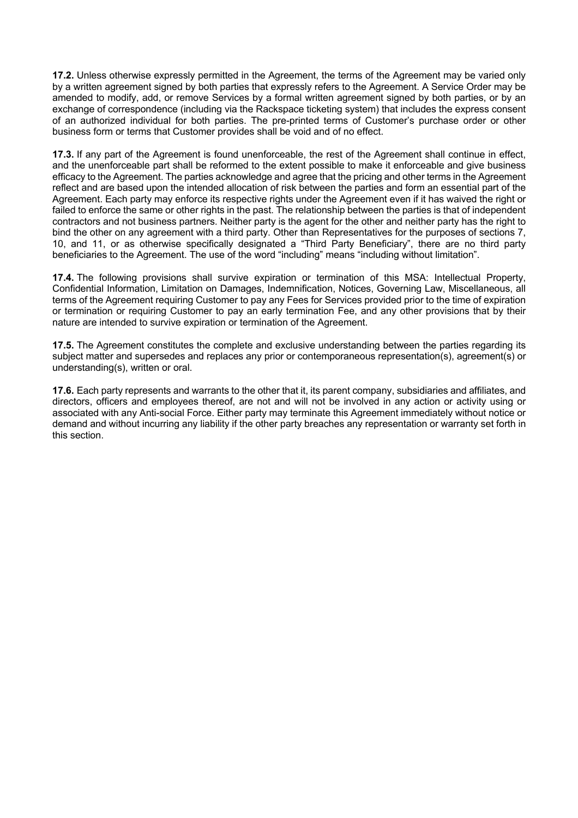**17.2.** Unless otherwise expressly permitted in the Agreement, the terms of the Agreement may be varied only by a written agreement signed by both parties that expressly refers to the Agreement. A Service Order may be amended to modify, add, or remove Services by a formal written agreement signed by both parties, or by an exchange of correspondence (including via the Rackspace ticketing system) that includes the express consent of an authorized individual for both parties. The pre-printed terms of Customer's purchase order or other business form or terms that Customer provides shall be void and of no effect.

**17.3.** If any part of the Agreement is found unenforceable, the rest of the Agreement shall continue in effect, and the unenforceable part shall be reformed to the extent possible to make it enforceable and give business efficacy to the Agreement. The parties acknowledge and agree that the pricing and other terms in the Agreement reflect and are based upon the intended allocation of risk between the parties and form an essential part of the Agreement. Each party may enforce its respective rights under the Agreement even if it has waived the right or failed to enforce the same or other rights in the past. The relationship between the parties is that of independent contractors and not business partners. Neither party is the agent for the other and neither party has the right to bind the other on any agreement with a third party. Other than Representatives for the purposes of sections 7, 10, and 11, or as otherwise specifically designated a "Third Party Beneficiary", there are no third party beneficiaries to the Agreement. The use of the word "including" means "including without limitation".

**17.4.** The following provisions shall survive expiration or termination of this MSA: Intellectual Property, Confidential Information, Limitation on Damages, Indemnification, Notices, Governing Law, Miscellaneous, all terms of the Agreement requiring Customer to pay any Fees for Services provided prior to the time of expiration or termination or requiring Customer to pay an early termination Fee, and any other provisions that by their nature are intended to survive expiration or termination of the Agreement.

**17.5.** The Agreement constitutes the complete and exclusive understanding between the parties regarding its subject matter and supersedes and replaces any prior or contemporaneous representation(s), agreement(s) or understanding(s), written or oral.

**17.6.** Each party represents and warrants to the other that it, its parent company, subsidiaries and affiliates, and directors, officers and employees thereof, are not and will not be involved in any action or activity using or associated with any Anti-social Force. Either party may terminate this Agreement immediately without notice or demand and without incurring any liability if the other party breaches any representation or warranty set forth in this section.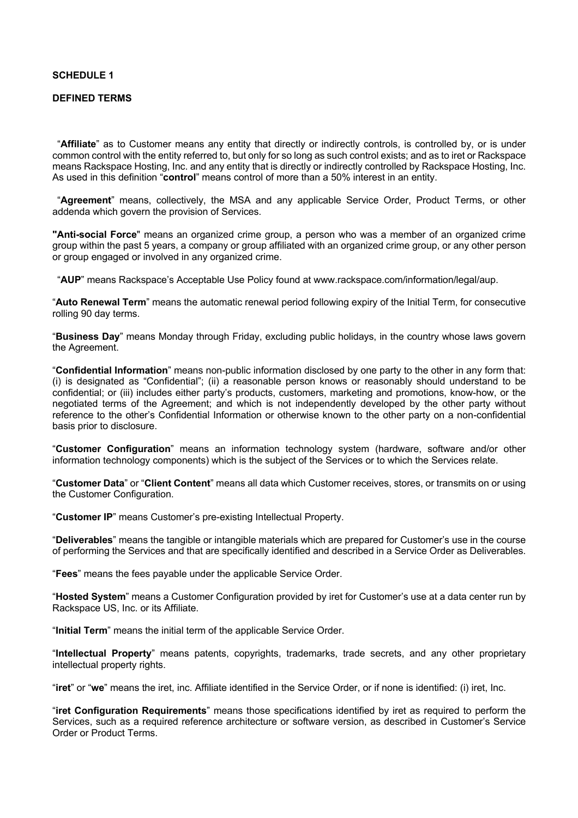#### **SCHEDULE 1**

#### **DEFINED TERMS**

"**Affiliate**" as to Customer means any entity that directly or indirectly controls, is controlled by, or is under common control with the entity referred to, but only for so long as such control exists; and as to iret or Rackspace means Rackspace Hosting, Inc. and any entity that is directly or indirectly controlled by Rackspace Hosting, Inc. As used in this definition "**control**" means control of more than a 50% interest in an entity.

"**Agreement**" means, collectively, the MSA and any applicable Service Order, Product Terms, or other addenda which govern the provision of Services.

**"Anti-social Force**" means an organized crime group, a person who was a member of an organized crime group within the past 5 years, a company or group affiliated with an organized crime group, or any other person or group engaged or involved in any organized crime.

"**AUP**" means Rackspace's Acceptable Use Policy found at www.rackspace.com/information/legal/aup.

"**Auto Renewal Term**" means the automatic renewal period following expiry of the Initial Term, for consecutive rolling 90 day terms.

"**Business Day**" means Monday through Friday, excluding public holidays, in the country whose laws govern the Agreement.

"**Confidential Information**" means non-public information disclosed by one party to the other in any form that: (i) is designated as "Confidential"; (ii) a reasonable person knows or reasonably should understand to be confidential; or (iii) includes either party's products, customers, marketing and promotions, know-how, or the negotiated terms of the Agreement; and which is not independently developed by the other party without reference to the other's Confidential Information or otherwise known to the other party on a non-confidential basis prior to disclosure.

"**Customer Configuration**" means an information technology system (hardware, software and/or other information technology components) which is the subject of the Services or to which the Services relate.

"**Customer Data**" or "**Client Content**" means all data which Customer receives, stores, or transmits on or using the Customer Configuration.

"**Customer IP**" means Customer's pre-existing Intellectual Property.

"**Deliverables**" means the tangible or intangible materials which are prepared for Customer's use in the course of performing the Services and that are specifically identified and described in a Service Order as Deliverables.

"**Fees**" means the fees payable under the applicable Service Order.

"**Hosted System**" means a Customer Configuration provided by iret for Customer's use at a data center run by Rackspace US, Inc. or its Affiliate.

"**Initial Term**" means the initial term of the applicable Service Order.

"**Intellectual Property**" means patents, copyrights, trademarks, trade secrets, and any other proprietary intellectual property rights.

"**iret**" or "**we**" means the iret, inc. Affiliate identified in the Service Order, or if none is identified: (i) iret, Inc.

"**iret Configuration Requirements**" means those specifications identified by iret as required to perform the Services, such as a required reference architecture or software version, as described in Customer's Service Order or Product Terms.